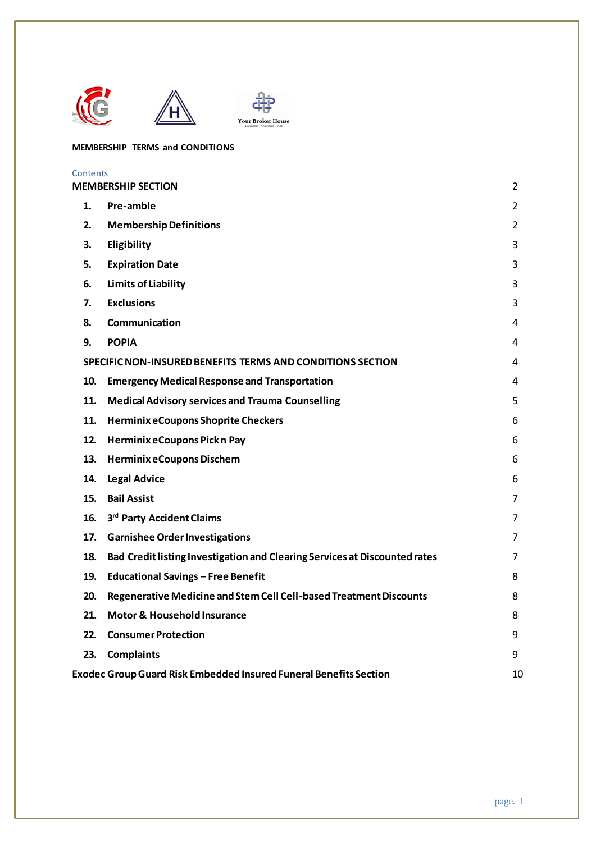



## **MEMBERSHIP TERMS and CONDITIONS**

| Contents                                                                 |                                                                            |                |
|--------------------------------------------------------------------------|----------------------------------------------------------------------------|----------------|
|                                                                          | <b><i>MEMBERSHIP SECTION</i></b>                                           | $\overline{2}$ |
| 1.                                                                       | Pre-amble                                                                  | $\overline{2}$ |
| 2.                                                                       | <b>Membership Definitions</b>                                              | $\overline{2}$ |
| З.                                                                       | Eligibility                                                                | 3              |
| 5.                                                                       | <b>Expiration Date</b>                                                     | 3              |
| 6.                                                                       | <b>Limits of Liability</b>                                                 | 3              |
| 7.                                                                       | <b>Exclusions</b>                                                          | 3              |
| 8.                                                                       | Communication                                                              | 4              |
| 9.                                                                       | <b>POPIA</b>                                                               | 4              |
|                                                                          | SPECIFIC NON-INSURED BENEFITS TERMS AND CONDITIONS SECTION                 | 4              |
| 10.                                                                      | <b>Emergency Medical Response and Transportation</b>                       | 4              |
| 11.                                                                      | <b>Medical Advisory services and Trauma Counselling</b>                    | 5              |
| 11.                                                                      | <b>Herminix eCoupons Shoprite Checkers</b>                                 | 6              |
| 12.                                                                      | Herminix eCoupons Pick n Pay                                               | 6              |
| 13.                                                                      | <b>Herminix eCoupons Dischem</b>                                           | 6              |
| 14.                                                                      | <b>Legal Advice</b>                                                        | 6              |
| 15.                                                                      | <b>Bail Assist</b>                                                         | $\overline{7}$ |
| 16.                                                                      | 3rd Party Accident Claims                                                  | 7              |
| 17.                                                                      | <b>Garnishee Order Investigations</b>                                      | 7              |
| 18.                                                                      | Bad Credit listing Investigation and Clearing Services at Discounted rates | 7              |
| 19.                                                                      | <b>Educational Savings - Free Benefit</b>                                  | 8              |
| 20.                                                                      | Regenerative Medicine and Stem Cell Cell-based Treatment Discounts         | 8              |
| 21.                                                                      | <b>Motor &amp; Household Insurance</b>                                     | 8              |
| 22.                                                                      | <b>Consumer Protection</b>                                                 | 9              |
| 23.                                                                      | <b>Complaints</b>                                                          | 9              |
| <b>Exodec Group Guard Risk Embedded Insured Funeral Benefits Section</b> |                                                                            |                |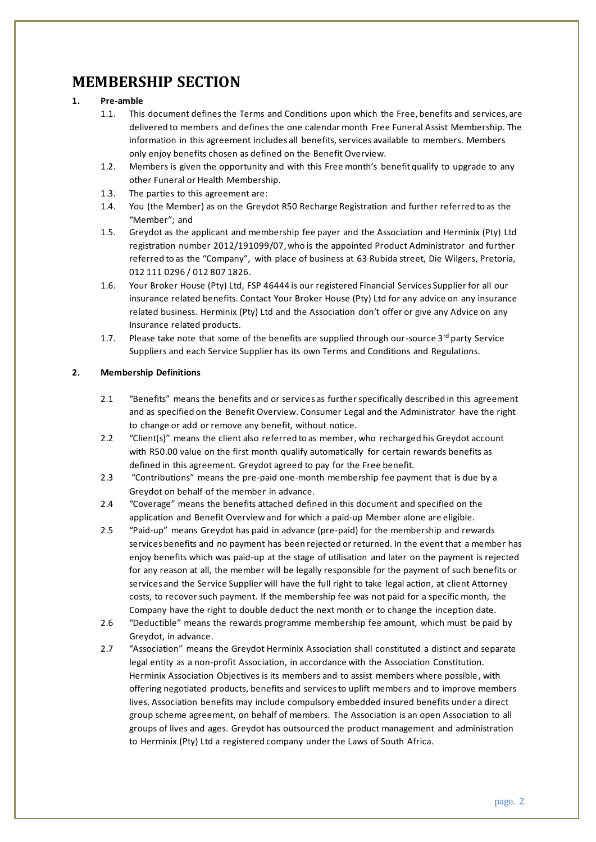# <span id="page-1-0"></span>**MEMBERSHIP SECTION**

## <span id="page-1-1"></span>**1. Pre-amble**

- 1.1. This document defines the Terms and Conditions upon which the Free, benefits and services, are delivered to members and defines the one calendar month Free Funeral Assist Membership. The information in this agreement includes all benefits, services available to members. Members only enjoy benefits chosen as defined on the Benefit Overview.
- 1.2. Members is given the opportunity and with this Free month's benefit qualify to upgrade to any other Funeral or Health Membership.
- 1.3. The parties to this agreement are:
- 1.4. You (the Member) as on the Greydot R50 Recharge Registration and further referred to as the "Member"; and
- 1.5. Greydot as the applicant and membership fee payer and the Association and Herminix (Pty) Ltd registration number 2012/191099/07,who is the appointed Product Administrator and further referred to as the "Company", with place of business at 63 Rubida street, Die Wilgers, Pretoria, 012 111 0296 / 012 807 1826.
- 1.6. Your Broker House (Pty) Ltd, FSP 46444 is our registered Financial Services Supplier for all our insurance related benefits. Contact Your Broker House (Pty) Ltd for any advice on any insurance related business. Herminix (Pty) Ltd and the Association don't offer or give any Advice on any Insurance related products.
- 1.7. Please take note that some of the benefits are supplied through our-source  $3<sup>rd</sup>$  party Service Suppliers and each Service Supplier has its own Terms and Conditions and Regulations.

## <span id="page-1-2"></span>**2. Membership Definitions**

- 2.1 "Benefits" means the benefits and or services as further specifically described in this agreement and as specified on the Benefit Overview. Consumer Legal and the Administrator have the right to change or add or remove any benefit, without notice.
- 2.2 "Client(s)" means the client also referred to as member, who recharged his Greydot account with R50.00 value on the first month qualify automatically for certain rewards benefits as defined in this agreement. Greydot agreed to pay for the Free benefit.
- 2.3 "Contributions" means the pre-paid one-month membership fee payment that is due by a Greydot on behalf of the member in advance.
- 2.4 "Coverage" means the benefits attached defined in this document and specified on the application and Benefit Overview and for which a paid-up Member alone are eligible.
- 2.5 "Paid-up" means Greydot has paid in advance (pre-paid) for the membership and rewards services benefits and no payment has been rejected or returned. In the event that a member has enjoy benefits which was paid-up at the stage of utilisation and later on the payment is rejected for any reason at all, the member will be legally responsible for the payment of such benefits or services and the Service Supplier will have the full right to take legal action, at client Attorney costs, to recover such payment. If the membership fee was not paid for a specific month, the Company have the right to double deduct the next month or to change the inception date.
- 2.6 "Deductible" means the rewards programme membership fee amount, which must be paid by Greydot, in advance.
- 2.7 "Association" means the Greydot Herminix Association shall constituted a distinct and separate legal entity as a non-profit Association, in accordance with the Association Constitution. Herminix Association Objectives is its members and to assist members where possible , with offering negotiated products, benefits and services to uplift members and to improve members lives. Association benefits may include compulsory embedded insured benefits under a direct group scheme agreement, on behalf of members. The Association is an open Association to all groups of lives and ages. Greydot has outsourced the product management and administration to Herminix (Pty) Ltd a registered company under the Laws of South Africa.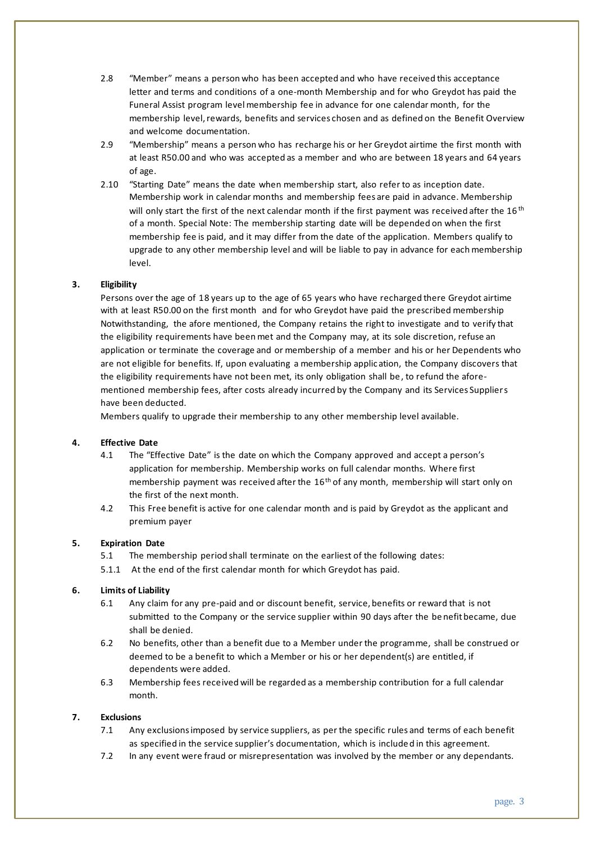- 2.8 "Member" means a person who has been accepted and who have received this acceptance letter and terms and conditions of a one-month Membership and for who Greydot has paid the Funeral Assist program level membership fee in advance for one calendar month, for the membership level, rewards, benefits and services chosen and as defined on the Benefit Overview and welcome documentation.
- 2.9 "Membership" means a person who has recharge his or her Greydot airtime the first month with at least R50.00 and who was accepted as a member and who are between 18 years and 64 years of age.
- 2.10 "Starting Date" means the date when membership start, also refer to as inception date. Membership work in calendar months and membership fees are paid in advance. Membership will only start the first of the next calendar month if the first payment was received after the 16<sup>th</sup> of a month. Special Note: The membership starting date will be depended on when the first membership fee is paid, and it may differ from the date of the application. Members qualify to upgrade to any other membership level and will be liable to pay in advance for each membership level.

## <span id="page-2-0"></span>**3. Eligibility**

Persons over the age of 18 years up to the age of 65 years who have recharged there Greydot airtime with at least R50.00 on the first month and for who Greydot have paid the prescribed membership Notwithstanding, the afore mentioned, the Company retains the right to investigate and to verify that the eligibility requirements have been met and the Company may, at its sole discretion, refuse an application or terminate the coverage and or membership of a member and his or her Dependents who are not eligible for benefits. If, upon evaluating a membership application, the Company discovers that the eligibility requirements have not been met, its only obligation shall be , to refund the aforementioned membership fees, after costs already incurred by the Company and its Services Suppliers have been deducted.

Members qualify to upgrade their membership to any other membership level available.

## **4. Effective Date**

- 4.1 The "Effective Date" is the date on which the Company approved and accept a person's application for membership. Membership works on full calendar months. Where first membership payment was received after the  $16<sup>th</sup>$  of any month, membership will start only on the first of the next month.
- 4.2 This Free benefit is active for one calendar month and is paid by Greydot as the applicant and premium payer

#### <span id="page-2-1"></span>**5. Expiration Date**

- 5.1 The membership period shall terminate on the earliest of the following dates:
- 5.1.1 At the end of the first calendar month for which Greydot has paid.

## <span id="page-2-2"></span>**6. Limits of Liability**

- 6.1 Any claim for any pre-paid and or discount benefit, service, benefits or reward that is not submitted to the Company or the service supplier within 90 days after the be nefit became, due shall be denied.
- 6.2 No benefits, other than a benefit due to a Member under the programme, shall be construed or deemed to be a benefit to which a Member or his or her dependent(s) are entitled, if dependents were added.
- 6.3 Membership fees received will be regarded as a membership contribution for a full calendar month.

### <span id="page-2-3"></span>**7. Exclusions**

- 7.1 Any exclusions imposed by service suppliers, as per the specific rules and terms of each benefit as specified in the service supplier's documentation, which is included in this agreement.
- 7.2 In any event were fraud or misrepresentation was involved by the member or any dependants.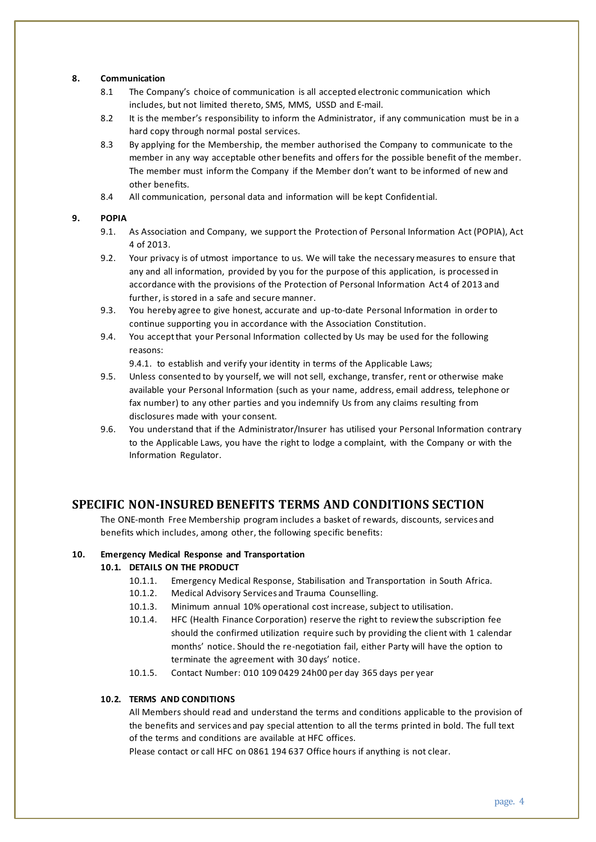## <span id="page-3-0"></span>**8. Communication**

- 8.1 The Company's choice of communication is all accepted electronic communication which includes, but not limited thereto, SMS, MMS, USSD and E-mail.
- 8.2 It is the member's responsibility to inform the Administrator, if any communication must be in a hard copy through normal postal services.
- 8.3 By applying for the Membership, the member authorised the Company to communicate to the member in any way acceptable other benefits and offers for the possible benefit of the member. The member must inform the Company if the Member don't want to be informed of new and other benefits.
- 8.4 All communication, personal data and information will be kept Confidential.

## <span id="page-3-1"></span>**9. POPIA**

- 9.1. As Association and Company, we support the Protection of Personal Information Act (POPIA), Act 4 of 2013.
- 9.2. Your privacy is of utmost importance to us. We will take the necessary measures to ensure that any and all information, provided by you for the purpose of this application, is processed in accordance with the provisions of the Protection of Personal Information Act 4 of 2013 and further, is stored in a safe and secure manner.
- 9.3. You hereby agree to give honest, accurate and up-to-date Personal Information in order to continue supporting you in accordance with the Association Constitution.
- 9.4. You accept that your Personal Information collected by Us may be used for the following reasons:

9.4.1. to establish and verify your identity in terms of the Applicable Laws;

- 9.5. Unless consented to by yourself, we will not sell, exchange, transfer, rent or otherwise make available your Personal Information (such as your name, address, email address, telephone or fax number) to any other parties and you indemnify Us from any claims resulting from disclosures made with your consent.
- 9.6. You understand that if the Administrator/Insurer has utilised your Personal Information contrary to the Applicable Laws, you have the right to lodge a complaint, with the Company or with the Information Regulator.

## <span id="page-3-2"></span>**SPECIFIC NON-INSURED BENEFITS TERMS AND CONDITIONS SECTION**

The ONE-month Free Membership program includes a basket of rewards, discounts, services and benefits which includes, among other, the following specific benefits:

## <span id="page-3-3"></span>**10. Emergency Medical Response and Transportation**

## **10.1. DETAILS ON THE PRODUCT**

- 10.1.1. Emergency Medical Response, Stabilisation and Transportation in South Africa.
- 10.1.2. Medical Advisory Services and Trauma Counselling.
- 10.1.3. Minimum annual 10% operational cost increase, subject to utilisation.
- 10.1.4. HFC (Health Finance Corporation) reserve the right to review the subscription fee should the confirmed utilization require such by providing the client with 1 calendar months' notice. Should the re-negotiation fail, either Party will have the option to terminate the agreement with 30 days' notice.
- 10.1.5. Contact Number: 010 109 0429 24h00 per day 365 days per year

## **10.2. TERMS AND CONDITIONS**

All Members should read and understand the terms and conditions applicable to the provision of the benefits and services and pay special attention to all the terms printed in bold. The full text of the terms and conditions are available at HFC offices.

Please contact or call HFC on 0861 194 637 Office hours if anything is not clear.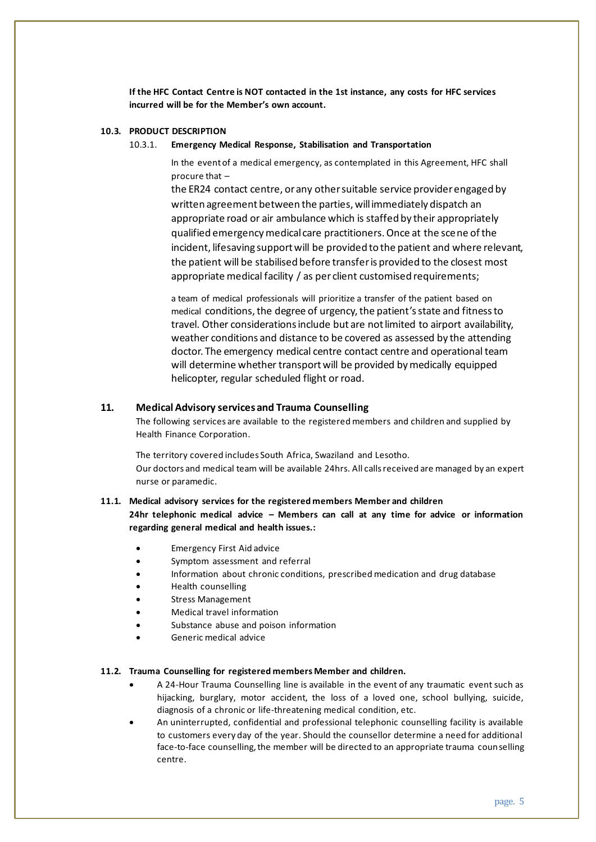**If the HFC Contact Centre is NOT contacted in the 1st instance, any costs for HFC services incurred will be for the Member's own account.**

## **10.3. PRODUCT DESCRIPTION**

#### 10.3.1. **Emergency Medical Response, Stabilisation and Transportation**

In the event of a medical emergency, as contemplated in this Agreement, HFC shall procure that –

the ER24 contact centre, or any other suitable service provider engaged by written agreement between the parties, will immediately dispatch an appropriate road or air ambulance which is staffed by their appropriately qualified emergency medical care practitioners. Once at the scene of the incident, lifesaving support will be provided to the patient and where relevant, the patient will be stabilised before transfer is provided to the closest most appropriate medical facility / as per client customised requirements;

a team of medical professionals will prioritize a transfer of the patient based on medical conditions, the degree of urgency, the patient's state and fitness to travel. Other considerations include but are not limited to airport availability, weather conditions and distance to be covered as assessed by the attending doctor. The emergency medical centre contact centre and operational team will determine whether transport will be provided by medically equipped helicopter, regular scheduled flight or road.

## <span id="page-4-0"></span>**11. Medical Advisory services and Trauma Counselling**

The following services are available to the registered members and children and supplied by Health Finance Corporation.

The territory covered includes South Africa, Swaziland and Lesotho. Our doctors and medical team will be available 24hrs. All calls received are managed by an expert nurse or paramedic.

#### **11.1. Medical advisory services for the registered members Member and children**

**24hr telephonic medical advice – Members can call at any time for advice or information regarding general medical and health issues.:**

- Emergency First Aid advice
- Symptom assessment and referral
- Information about chronic conditions, prescribed medication and drug database
- Health counselling
- Stress Management
- Medical travel information
- Substance abuse and poison information
- Generic medical advice

#### **11.2. Trauma Counselling for registered members Member and children.**

- A 24-Hour Trauma Counselling line is available in the event of any traumatic event such as hijacking, burglary, motor accident, the loss of a loved one, school bullying, suicide, diagnosis of a chronic or life-threatening medical condition, etc.
- An uninterrupted, confidential and professional telephonic counselling facility is available to customers every day of the year. Should the counsellor determine a need for additional face-to-face counselling, the member will be directed to an appropriate trauma counselling centre.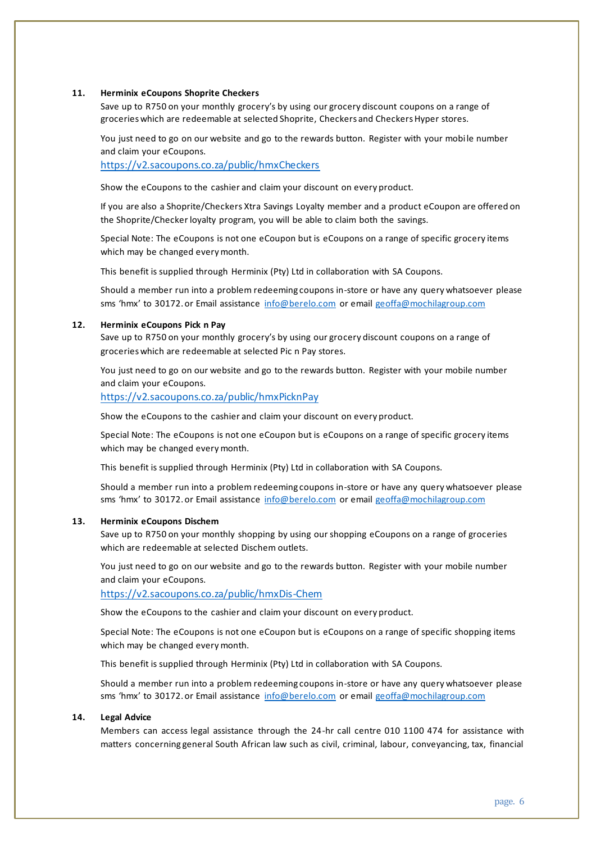#### <span id="page-5-0"></span>**11. Herminix eCoupons Shoprite Checkers**

Save up to R750 on your monthly grocery's by using our grocery discount coupons on a range of groceries which are redeemable at selected Shoprite, Checkers and Checkers Hyper stores.

You just need to go on our website and go to the rewards button. Register with your mobile number and claim your eCoupons.

<https://v2.sacoupons.co.za/public/hmxCheckers>

Show the eCoupons to the cashier and claim your discount on every product.

If you are also a Shoprite/Checkers Xtra Savings Loyalty member and a product eCoupon are offered on the Shoprite/Checker loyalty program, you will be able to claim both the savings.

Special Note: The eCoupons is not one eCoupon but is eCoupons on a range of specific grocery items which may be changed every month.

This benefit is supplied through Herminix (Pty) Ltd in collaboration with SA Coupons.

Should a member run into a problem redeeming coupons in-store or have any query whatsoever please sms 'hmx' to 30172. or Email assistance [info@berelo.com](mailto:info@berelo.com) or emai[l geoffa@mochilagroup.com](mailto:geoffa@mochilagroup.com)

#### <span id="page-5-1"></span>**12. Herminix eCoupons Pick n Pay**

Save up to R750 on your monthly grocery's by using our grocery discount coupons on a range of groceries which are redeemable at selected Pic n Pay stores.

You just need to go on our website and go to the rewards button. Register with your mobile number and claim your eCoupons.

<https://v2.sacoupons.co.za/public/hmxPicknPay>

Show the eCoupons to the cashier and claim your discount on every product.

Special Note: The eCoupons is not one eCoupon but is eCoupons on a range of specific grocery items which may be changed every month.

This benefit is supplied through Herminix (Pty) Ltd in collaboration with SA Coupons.

Should a member run into a problem redeeming coupons in-store or have any query whatsoever please sms 'hmx' to 30172. or Email assistance [info@berelo.com](mailto:info@berelo.com) or emai[l geoffa@mochilagroup.com](mailto:geoffa@mochilagroup.com)

#### <span id="page-5-2"></span>**13. Herminix eCoupons Dischem**

Save up to R750 on your monthly shopping by using our shopping eCoupons on a range of groceries which are redeemable at selected Dischem outlets.

You just need to go on our website and go to the rewards button. Register with your mobile number and claim your eCoupons.

<https://v2.sacoupons.co.za/public/hmxDis-Chem>

Show the eCoupons to the cashier and claim your discount on every product.

Special Note: The eCoupons is not one eCoupon but is eCoupons on a range of specific shopping items which may be changed every month.

This benefit is supplied through Herminix (Pty) Ltd in collaboration with SA Coupons.

Should a member run into a problem redeeming coupons in-store or have any query whatsoever please sms 'hmx' to 30172. or Email assistance [info@berelo.com](mailto:info@berelo.com) or emai[l geoffa@mochilagroup.com](mailto:geoffa@mochilagroup.com)

#### <span id="page-5-3"></span>**14. Legal Advice**

Members can access legal assistance through the 24-hr call centre 010 1100 474 for assistance with matters concerning general South African law such as civil, criminal, labour, conveyancing, tax, financial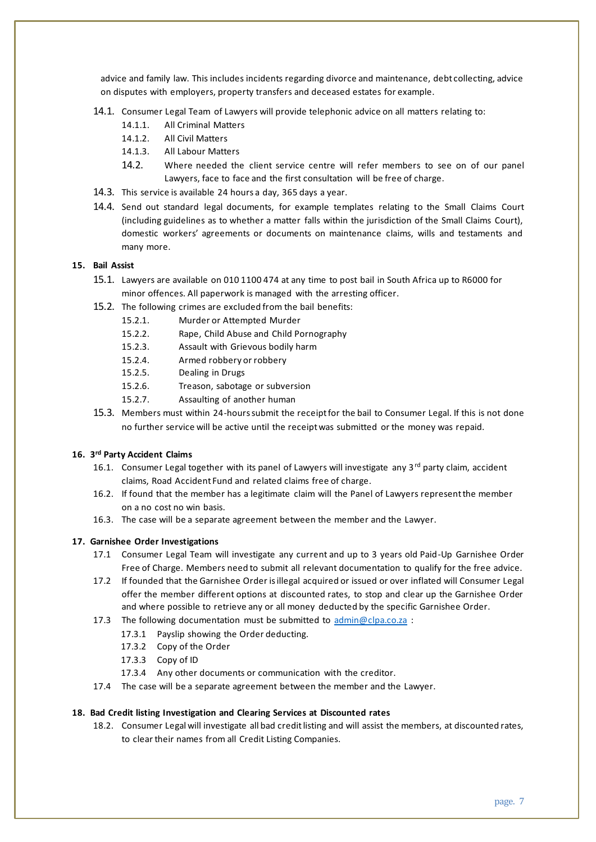advice and family law. This includes incidents regarding divorce and maintenance, debt collecting, advice on disputes with employers, property transfers and deceased estates for example.

- 14.1. Consumer Legal Team of Lawyers will provide telephonic advice on all matters relating to:
	- 14.1.1. All Criminal Matters
	- 14.1.2. All Civil Matters
	- 14.1.3. All Labour Matters
	- 14.2. Where needed the client service centre will refer members to see on of our panel Lawyers, face to face and the first consultation will be free of charge.
- 14.3. This service is available 24 hours a day, 365 days a year.
- 14.4. Send out standard legal documents, for example templates relating to the Small Claims Court (including guidelines as to whether a matter falls within the jurisdiction of the Small Claims Court), domestic workers' agreements or documents on maintenance claims, wills and testaments and many more.

#### <span id="page-6-0"></span>**15. Bail Assist**

- 15.1. Lawyers are available on 010 1100 474 at any time to post bail in South Africa up to R6000 for minor offences. All paperwork is managed with the arresting officer.
- 15.2. The following crimes are excluded from the bail benefits:
	- 15.2.1. Murder or Attempted Murder
	- 15.2.2. Rape, Child Abuse and Child Pornography
	- 15.2.3. Assault with Grievous bodily harm
	- 15.2.4. Armed robbery or robbery
	- 15.2.5. Dealing in Drugs
	- 15.2.6. Treason, sabotage or subversion
	- 15.2.7. Assaulting of another human
- 15.3. Members must within 24-hours submit the receipt for the bail to Consumer Legal. If this is not done no further service will be active until the receipt was submitted or the money was repaid.

#### <span id="page-6-1"></span>**16. 3 rd Party Accident Claims**

- 16.1. Consumer Legal together with its panel of Lawyers will investigate any 3rd party claim, accident claims, Road Accident Fund and related claims free of charge.
- 16.2. If found that the member has a legitimate claim will the Panel of Lawyers represent the member on a no cost no win basis.
- 16.3. The case will be a separate agreement between the member and the Lawyer.

#### <span id="page-6-2"></span>**17. Garnishee Order Investigations**

- 17.1 Consumer Legal Team will investigate any current and up to 3 years old Paid-Up Garnishee Order Free of Charge. Members need to submit all relevant documentation to qualify for the free advice.
- 17.2 If founded that the Garnishee Order is illegal acquired or issued or over inflated will Consumer Legal offer the member different options at discounted rates, to stop and clear up the Garnishee Order and where possible to retrieve any or all money deducted by the specific Garnishee Order.
- 17.3 The following documentation must be submitted to [admin@clpa.co.za](mailto:admin@clpa.co.za) :
	- 17.3.1 Payslip showing the Order deducting.
	- 17.3.2 Copy of the Order
	- 17.3.3 Copy of ID
	- 17.3.4 Any other documents or communication with the creditor.
- 17.4 The case will be a separate agreement between the member and the Lawyer.

#### <span id="page-6-3"></span>**18. Bad Credit listing Investigation and Clearing Services at Discounted rates**

18.2. Consumer Legal will investigate all bad credit listing and will assist the members, at discounted rates, to clear their names from all Credit Listing Companies.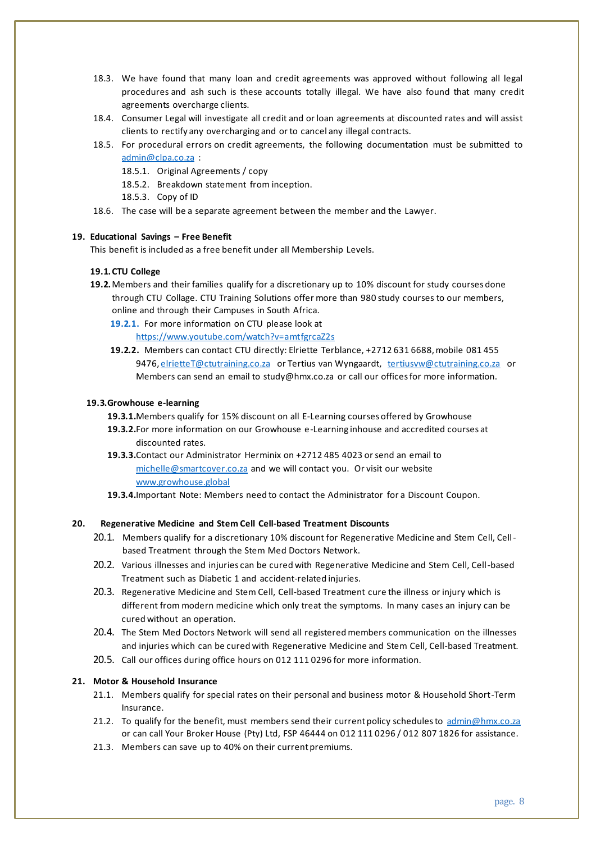- 18.3. We have found that many loan and credit agreements was approved without following all legal procedures and ash such is these accounts totally illegal. We have also found that many credit agreements overcharge clients.
- 18.4. Consumer Legal will investigate all credit and or loan agreements at discounted rates and will assist clients to rectify any overcharging and or to cancel any illegal contracts.
- 18.5. For procedural errors on credit agreements, the following documentation must be submitted to [admin@clpa.co.za](mailto:admin@clpa.co.za) :

18.5.1. Original Agreements / copy

- 18.5.2. Breakdown statement from inception.
- 18.5.3. Copy of ID
- 18.6. The case will be a separate agreement between the member and the Lawyer.

## **19. Educational Savings – Free Benefit**

<span id="page-7-0"></span>This benefit is included as a free benefit under all Membership Levels.

#### **19.1.CTU College**

- **19.2.**Members and their families qualify for a discretionary up to 10% discount for study courses done through CTU Collage. CTU Training Solutions offer more than 980 study courses to our members, online and through their Campuses in South Africa.
	- **19.2.1.** For more information on CTU please look at <https://www.youtube.com/watch?v=amtfgrcaZ2s>
	- **19.2.2.** Members can contact CTU directly: Elriette Terblance, +2712 631 6688, mobile 081 455 9476[, elrietteT@ctutraining.co.za](mailto:elrietteT@ctutraining.co.za) or Tertius van Wyngaardt, [tertiusvw@ctutraining.co.za](mailto:tertiusvw@ctutraining.co.za) or Members can send an email to study@hmx.co.za or call our offices for more information.

#### **19.3.Growhouse e-learning**

- **19.3.1.**Members qualify for 15% discount on all E-Learning courses offered by Growhouse
- **19.3.2.**For more information on our Growhouse e-Learning inhouse and accredited courses at discounted rates.
- **19.3.3.**Contact our Administrator Herminix on +2712 485 4023 or send an email to [michelle@smartcover.co.za](mailto:michelle@smartcover.co.za) and we will contact you. Or visit our website [www.growhouse.global](http://www.growhouse.global/)
- **19.3.4.**Important Note: Members need to contact the Administrator for a Discount Coupon.

#### **20. Regenerative Medicine and Stem Cell Cell-based Treatment Discounts**

- <span id="page-7-1"></span>20.1. Members qualify for a discretionary 10% discount for Regenerative Medicine and Stem Cell, Cellbased Treatment through the Stem Med Doctors Network.
- 20.2. Various illnesses and injuries can be cured with Regenerative Medicine and Stem Cell, Cell-based Treatment such as Diabetic 1 and accident-related injuries.
- 20.3. Regenerative Medicine and Stem Cell, Cell-based Treatment cure the illness or injury which is different from modern medicine which only treat the symptoms. In many cases an injury can be cured without an operation.
- 20.4. The Stem Med Doctors Network will send all registered members communication on the illnesses and injuries which can be cured with Regenerative Medicine and Stem Cell, Cell-based Treatment.
- 20.5. Call our offices during office hours on 012 111 0296 for more information.

#### <span id="page-7-2"></span>**21. Motor & Household Insurance**

- 21.1. Members qualify for special rates on their personal and business motor & Household Short-Term Insurance.
- 21.2. To qualify for the benefit, must members send their current policy schedules to [admin@hmx.co.za](mailto:admin@hmx.co.za) or can call Your Broker House (Pty) Ltd, FSP 46444 on 012 111 0296 / 012 807 1826 for assistance.
- 21.3. Members can save up to 40% on their current premiums.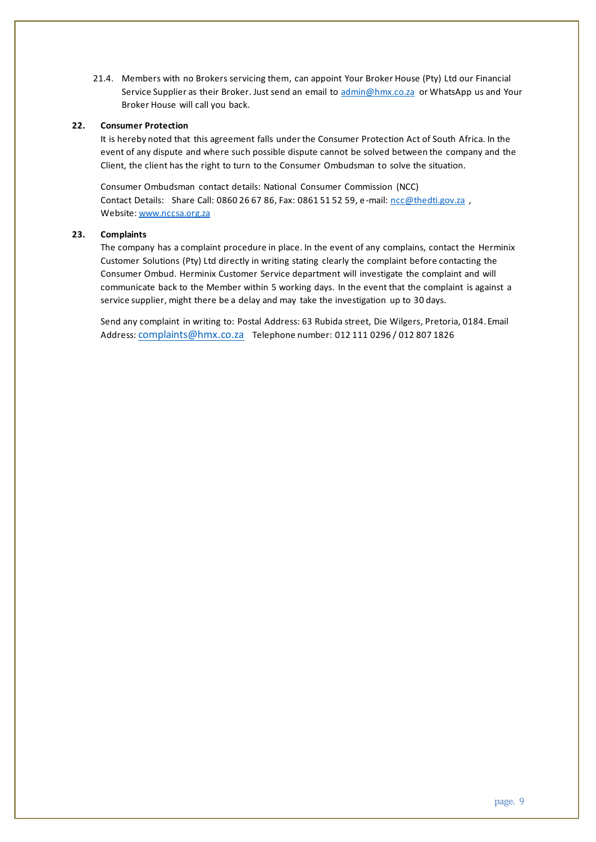21.4. Members with no Brokers servicing them, can appoint Your Broker House (Pty) Ltd our Financial Service Supplier as their Broker. Just send an email to [admin@hmx.co.za](mailto:admin@hmx.co.za) or WhatsApp us and Your Broker House will call you back.

## <span id="page-8-0"></span>**22. Consumer Protection**

It is hereby noted that this agreement falls under the Consumer Protection Act of South Africa. In the event of any dispute and where such possible dispute cannot be solved between the company and the Client, the client has the right to turn to the Consumer Ombudsman to solve the situation.

Consumer Ombudsman contact details: National Consumer Commission (NCC) Contact Details: Share Call: 0860 26 67 86, Fax: 0861 51 52 59, e-mail: [ncc@thedti.gov.za](mailto:ncc@thedti.gov.za), Website: [www.nccsa.org.za](http://www.nccsa.org.za/) 

## <span id="page-8-1"></span>**23. Complaints**

The company has a complaint procedure in place. In the event of any complains, contact the Herminix Customer Solutions (Pty) Ltd directly in writing stating clearly the complaint before contacting the Consumer Ombud. Herminix Customer Service department will investigate the complaint and will communicate back to the Member within 5 working days. In the event that the complaint is against a service supplier, might there be a delay and may take the investigation up to 30 days.

Send any complaint in writing to: Postal Address: 63 Rubida street, Die Wilgers, Pretoria, 0184. Email Address: [complaints@hmx.co.za](mailto:complaints@hmx.co.za) Telephone number: 012 111 0296 / 012 807 1826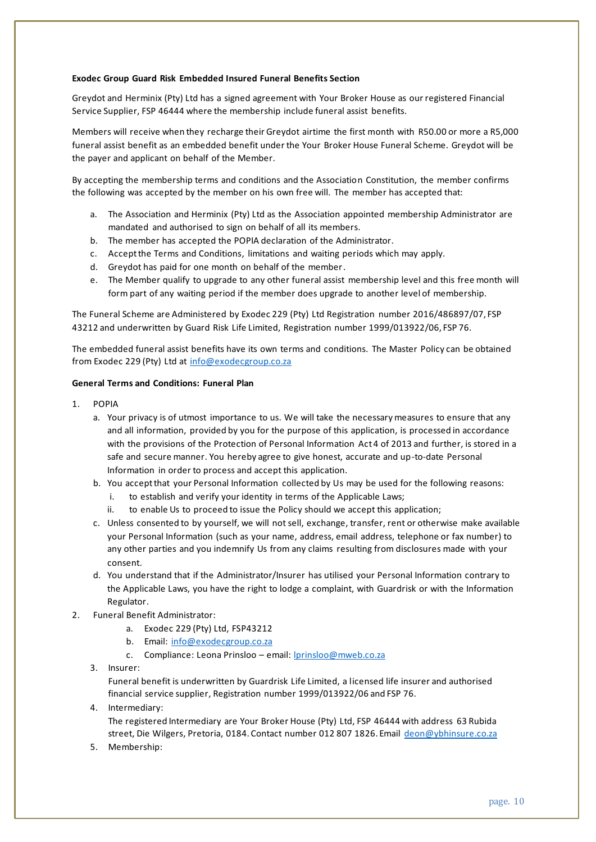#### <span id="page-9-0"></span>**Exodec Group Guard Risk Embedded Insured Funeral Benefits Section**

Greydot and Herminix (Pty) Ltd has a signed agreement with Your Broker House as our registered Financial Service Supplier, FSP 46444 where the membership include funeral assist benefits.

Members will receive when they recharge their Greydot airtime the first month with R50.00 or more a R5,000 funeral assist benefit as an embedded benefit under the Your Broker House Funeral Scheme. Greydot will be the payer and applicant on behalf of the Member.

By accepting the membership terms and conditions and the Association Constitution, the member confirms the following was accepted by the member on his own free will. The member has accepted that:

- a. The Association and Herminix (Pty) Ltd as the Association appointed membership Administrator are mandated and authorised to sign on behalf of all its members.
- b. The member has accepted the POPIA declaration of the Administrator.
- c. Accept the Terms and Conditions, limitations and waiting periods which may apply.
- d. Greydot has paid for one month on behalf of the member.
- e. The Member qualify to upgrade to any other funeral assist membership level and this free month will form part of any waiting period if the member does upgrade to another level of membership.

The Funeral Scheme are Administered by Exodec 229 (Pty) Ltd Registration number 2016/486897/07, FSP 43212 and underwritten by Guard Risk Life Limited, Registration number 1999/013922/06, FSP 76.

The embedded funeral assist benefits have its own terms and conditions. The Master Policy can be obtained from Exodec 229 (Pty) Ltd at [info@exodecgroup.co.za](mailto:info@exodecgroup.co.za)

#### **General Terms and Conditions: Funeral Plan**

- 1. POPIA
	- a. Your privacy is of utmost importance to us. We will take the necessary measures to ensure that any and all information, provided by you for the purpose of this application, is processed in accordance with the provisions of the Protection of Personal Information Act 4 of 2013 and further, is stored in a safe and secure manner. You hereby agree to give honest, accurate and up-to-date Personal Information in order to process and accept this application.
	- b. You accept that your Personal Information collected by Us may be used for the following reasons:
		- i. to establish and verify your identity in terms of the Applicable Laws;
		- ii. to enable Us to proceed to issue the Policy should we accept this application;
	- c. Unless consented to by yourself, we will not sell, exchange, transfer, rent or otherwise make available your Personal Information (such as your name, address, email address, telephone or fax number) to any other parties and you indemnify Us from any claims resulting from disclosures made with your consent.
	- d. You understand that if the Administrator/Insurer has utilised your Personal Information contrary to the Applicable Laws, you have the right to lodge a complaint, with Guardrisk or with the Information Regulator.
- 2. Funeral Benefit Administrator:
	- a. Exodec 229 (Pty) Ltd, FSP43212
	- b. Email: [info@exodecgroup.co.za](mailto:info@exodecgroup.co.za)
	- c. Compliance: Leona Prinsloo email: [lprinsloo@mweb.co.za](mailto:lprinsloo@mweb.co.za)
	- 3. Insurer:

Funeral benefit is underwritten by Guardrisk Life Limited, a licensed life insurer and authorised financial service supplier, Registration number 1999/013922/06 and FSP 76.

4. Intermediary:

The registered Intermediary are Your Broker House (Pty) Ltd, FSP 46444 with address 63 Rubida street, Die Wilgers, Pretoria, 0184. Contact number 012 807 1826. Email [deon@ybhinsure.co.za](mailto:deon@ybhinsure.co.za)

5. Membership: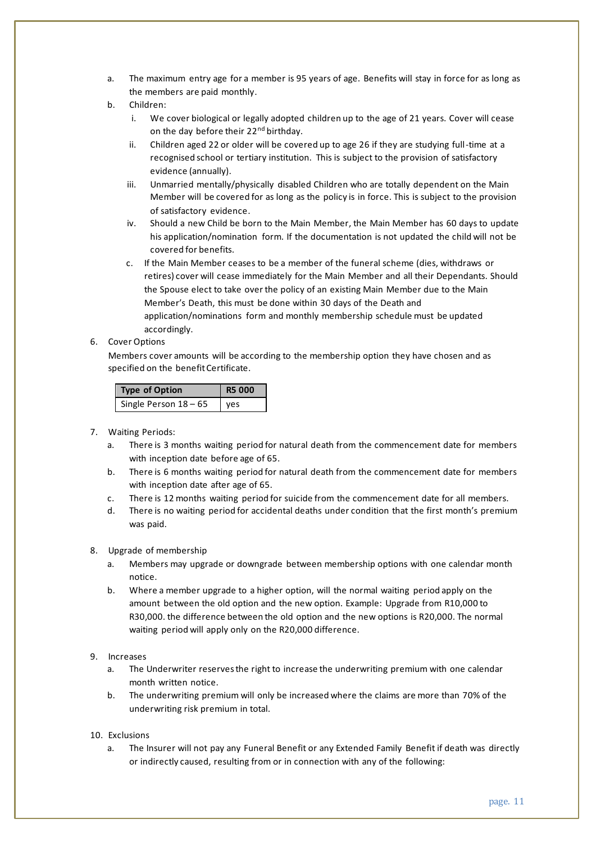- a. The maximum entry age for a member is 95 years of age. Benefits will stay in force for as long as the members are paid monthly.
- b. Children:
	- i. We cover biological or legally adopted children up to the age of 21 years. Cover will cease on the day before their 22<sup>nd</sup> birthday.
	- ii. Children aged 22 or older will be covered up to age 26 if they are studying full-time at a recognised school or tertiary institution. This is subject to the provision of satisfactory evidence (annually).
	- iii. Unmarried mentally/physically disabled Children who are totally dependent on the Main Member will be covered for as long as the policy is in force. This is subject to the provision of satisfactory evidence.
	- iv. Should a new Child be born to the Main Member, the Main Member has 60 days to update his application/nomination form. If the documentation is not updated the child will not be covered for benefits.
	- c. If the Main Member ceases to be a member of the funeral scheme (dies, withdraws or retires) cover will cease immediately for the Main Member and all their Dependants. Should the Spouse elect to take over the policy of an existing Main Member due to the Main Member's Death, this must be done within 30 days of the Death and application/nominations form and monthly membership schedule must be updated accordingly.

#### 6. Cover Options

Members cover amounts will be according to the membership option they have chosen and as specified on the benefit Certificate.

| <b>Type of Option</b> | <b>R5 000</b> |
|-----------------------|---------------|
| Single Person 18 - 65 | ves           |

#### 7. Waiting Periods:

- a. There is 3 months waiting period for natural death from the commencement date for members with inception date before age of 65.
- b. There is 6 months waiting period for natural death from the commencement date for members with inception date after age of 65.
- c. There is 12 months waiting period for suicide from the commencement date for all members.
- d. There is no waiting period for accidental deaths under condition that the first month's premium was paid.

## 8. Upgrade of membership

- a. Members may upgrade or downgrade between membership options with one calendar month notice.
- b. Where a member upgrade to a higher option, will the normal waiting period apply on the amount between the old option and the new option. Example: Upgrade from R10,000 to R30,000. the difference between the old option and the new options is R20,000. The normal waiting period will apply only on the R20,000 difference.
- 9. Increases
	- a. The Underwriter reserves the right to increase the underwriting premium with one calendar month written notice.
	- b. The underwriting premium will only be increased where the claims are more than 70% of the underwriting risk premium in total.
- 10. Exclusions
	- a. The Insurer will not pay any Funeral Benefit or any Extended Family Benefit if death was directly or indirectly caused, resulting from or in connection with any of the following: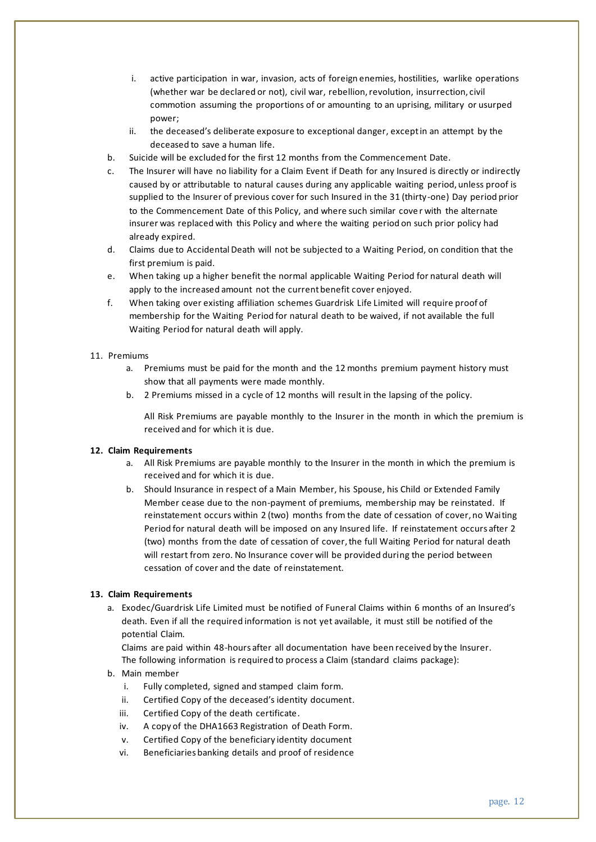- i. active participation in war, invasion, acts of foreign enemies, hostilities, warlike operations (whether war be declared or not), civil war, rebellion, revolution, insurrection, civil commotion assuming the proportions of or amounting to an uprising, military or usurped power;
- ii. the deceased's deliberate exposure to exceptional danger, except in an attempt by the deceased to save a human life.
- b. Suicide will be excluded for the first 12 months from the Commencement Date.
- c. The Insurer will have no liability for a Claim Event if Death for any Insured is directly or indirectly caused by or attributable to natural causes during any applicable waiting period, unless proof is supplied to the Insurer of previous cover for such Insured in the 31 (thirty-one) Day period prior to the Commencement Date of this Policy, and where such similar cover with the alternate insurer was replaced with this Policy and where the waiting period on such prior policy had already expired.
- d. Claims due to Accidental Death will not be subjected to a Waiting Period, on condition that the first premium is paid.
- e. When taking up a higher benefit the normal applicable Waiting Period for natural death will apply to the increased amount not the current benefit cover enjoyed.
- f. When taking over existing affiliation schemes Guardrisk Life Limited will require proof of membership for the Waiting Period for natural death to be waived, if not available the full Waiting Period for natural death will apply.

#### 11. Premiums

- a. Premiums must be paid for the month and the 12 months premium payment history must show that all payments were made monthly.
- b. 2 Premiums missed in a cycle of 12 months will result in the lapsing of the policy.

All Risk Premiums are payable monthly to the Insurer in the month in which the premium is received and for which it is due.

#### **12. Claim Requirements**

- a. All Risk Premiums are payable monthly to the Insurer in the month in which the premium is received and for which it is due.
- b. Should Insurance in respect of a Main Member, his Spouse, his Child or Extended Family Member cease due to the non-payment of premiums, membership may be reinstated. If reinstatement occurs within 2 (two) months from the date of cessation of cover, no Waiting Period for natural death will be imposed on any Insured life. If reinstatement occurs after 2 (two) months from the date of cessation of cover, the full Waiting Period for natural death will restart from zero. No Insurance cover will be provided during the period between cessation of cover and the date of reinstatement.

#### **13. Claim Requirements**

a. Exodec/Guardrisk Life Limited must be notified of Funeral Claims within 6 months of an Insured's death. Even if all the required information is not yet available, it must still be notified of the potential Claim.

Claims are paid within 48-hours after all documentation have been received by the Insurer. The following information is required to process a Claim (standard claims package):

- b. Main member
	- i. Fully completed, signed and stamped claim form.
	- ii. Certified Copy of the deceased's identity document.
	- iii. Certified Copy of the death certificate.
	- iv. A copy of the DHA1663 Registration of Death Form.
	- v. Certified Copy of the beneficiary identity document
	- vi. Beneficiaries banking details and proof of residence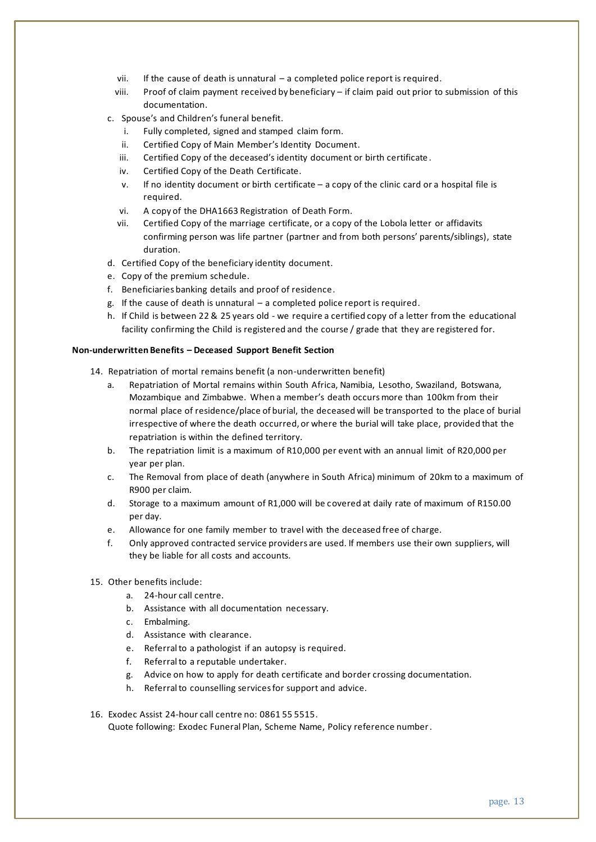- vii. If the cause of death is unnatural a completed police report is required.
- viii. Proof of claim payment received by beneficiary if claim paid out prior to submission of this documentation.
- c. Spouse's and Children's funeral benefit.
	- i. Fully completed, signed and stamped claim form.
	- ii. Certified Copy of Main Member's Identity Document.
	- iii. Certified Copy of the deceased's identity document or birth certificate .
	- iv. Certified Copy of the Death Certificate.
	- v. If no identity document or birth certificate a copy of the clinic card or a hospital file is required.
	- vi. A copy of the DHA1663 Registration of Death Form.
	- vii. Certified Copy of the marriage certificate, or a copy of the Lobola letter or affidavits confirming person was life partner (partner and from both persons' parents/siblings), state duration.
- d. Certified Copy of the beneficiary identity document.
- e. Copy of the premium schedule.
- f. Beneficiaries banking details and proof of residence.
- g. If the cause of death is unnatural a completed police report is required.
- h. If Child is between 22 & 25 years old we require a certified copy of a letter from the educational facility confirming the Child is registered and the course / grade that they are registered for.

#### **Non-underwritten Benefits – Deceased Support Benefit Section**

- 14. Repatriation of mortal remains benefit (a non-underwritten benefit)
	- a. Repatriation of Mortal remains within South Africa, Namibia, Lesotho, Swaziland, Botswana, Mozambique and Zimbabwe. When a member's death occurs more than 100km from their normal place of residence/place of burial, the deceased will be transported to the place of burial irrespective of where the death occurred, or where the burial will take place, provided that the repatriation is within the defined territory.
	- b. The repatriation limit is a maximum of R10,000 per event with an annual limit of R20,000 per year per plan.
	- c. The Removal from place of death (anywhere in South Africa) minimum of 20km to a maximum of R900 per claim.
	- d. Storage to a maximum amount of R1,000 will be covered at daily rate of maximum of R150.00 per day.
	- e. Allowance for one family member to travel with the deceased free of charge.
	- f. Only approved contracted service providers are used. If members use their own suppliers, will they be liable for all costs and accounts.
- 15. Other benefits include:
	- a. 24-hour call centre.
	- b. Assistance with all documentation necessary.
	- c. Embalming.
	- d. Assistance with clearance.
	- e. Referral to a pathologist if an autopsy is required.
	- f. Referral to a reputable undertaker.
	- g. Advice on how to apply for death certificate and border crossing documentation.
	- h. Referral to counselling services for support and advice.
- 16. Exodec Assist 24-hour call centre no: 0861 55 5515.

Quote following: Exodec Funeral Plan, Scheme Name, Policy reference number.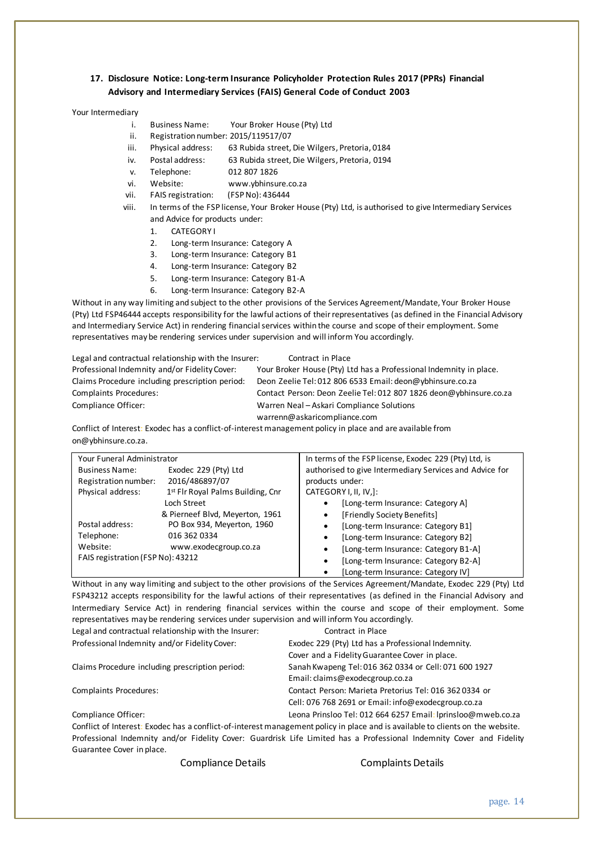## **17. Disclosure Notice: Long-term Insurance Policyholder Protection Rules 2017 (PPRs) Financial Advisory and Intermediary Services (FAIS) General Code of Conduct 2003**

#### Your Intermediary

- i. Business Name: Your Broker House (Pty) Ltd<br>ii. Registration number: 2015/119517/07
- Registration number: 2015/119517/07
- iii. Physical address: 63 Rubida street, Die Wilgers, Pretoria, 0184
- iv. Postal address: 63 Rubida street, Die Wilgers, Pretoria, 0194
- v. Telephone:
- vi. Website: www.ybhinsure.co.za
- vii. FAIS registration: (FSP No): 436444
- viii. In terms of the FSP license, Your Broker House (Pty) Ltd, is authorised to give Intermediary Services and Advice for products under:
	- 1. CATEGORY I
	- 2. Long-term Insurance: Category A
	- 3. Long-term Insurance: Category B1
	- 4. Long-term Insurance: Category B2
	- 5. Long-term Insurance: Category B1-A
	- 6. Long-term Insurance: Category B2-A

Without in any way limiting and subject to the other provisions of the Services Agreement/Mandate, Your Broker House (Pty) Ltd FSP46444 accepts responsibility for the lawful actions of their representatives (as defined in the Financial Advisory and Intermediary Service Act) in rendering financial services within the course and scope of their employment. Some representatives may be rendering services under supervision and will inform You accordingly.

| Legal and contractual relationship with the Insurer: | Contract in Place                                                  |
|------------------------------------------------------|--------------------------------------------------------------------|
| Professional Indemnity and/or Fidelity Cover:        | Your Broker House (Pty) Ltd has a Professional Indemnity in place. |
| Claims Procedure including prescription period:      | Deon Zeelie Tel: 012 806 6533 Email: deon@ybhinsure.co.za          |
| Complaints Procedures:                               | Contact Person: Deon Zeelie Tel: 012 807 1826 deon@ybhinsure.co.za |
| Compliance Officer:                                  | Warren Neal - Askari Compliance Solutions                          |
|                                                      | warrenn@askaricompliance.com                                       |

Conflict of Interest: Exodec has a conflict-of-interest management policy in place and are available from on@ybhinsure.co.za.

| Your Funeral Administrator                    |                                   | In terms of the FSP license, Exodec 229 (Pty) Ltd, is   |  |
|-----------------------------------------------|-----------------------------------|---------------------------------------------------------|--|
| Exodec 229 (Pty) Ltd<br><b>Business Name:</b> |                                   | authorised to give Intermediary Services and Advice for |  |
| Registration number:                          | 2016/486897/07                    | products under:                                         |  |
| Physical address:                             | 1st Fir Royal Palms Building, Cnr | CATEGORY I, II, IV,]:                                   |  |
| Loch Street                                   |                                   | [Long-term Insurance: Category A]<br>٠                  |  |
|                                               | & Pierneef Blvd, Meyerton, 1961   | [Friendly Society Benefits]<br>٠                        |  |
| Postal address:                               | PO Box 934, Meyerton, 1960        | [Long-term Insurance: Category B1]<br>٠                 |  |
| Telephone:                                    | 016 362 0334                      | [Long-term Insurance: Category B2]<br>٠                 |  |
| Website:                                      | www.exodecgroup.co.za             | [Long-term Insurance: Category B1-A]<br>٠               |  |
| FAIS registration (FSP No): 43212             |                                   | [Long-term Insurance: Category B2-A]<br>٠               |  |
|                                               |                                   | [Long-term Insurance: Category IV]<br>٠                 |  |

Without in any way limiting and subject to the other provisions of the Services Agreement/Mandate, Exodec 229 (Pty) Ltd FSP43212 accepts responsibility for the lawful actions of their representatives (as defined in the Financial Advisory and Intermediary Service Act) in rendering financial services within the course and scope of their employment. Some representatives may be rendering services under supervision and will inform You accordingly.

| Legal and contractual relationship with the Insurer: | Contract in Place                                                                                                             |
|------------------------------------------------------|-------------------------------------------------------------------------------------------------------------------------------|
| Professional Indemnity and/or Fidelity Cover:        | Exodec 229 (Pty) Ltd has a Professional Indemnity.                                                                            |
|                                                      | Cover and a Fidelity Guarantee Cover in place.                                                                                |
| Claims Procedure including prescription period:      | Sanah Kwapeng Tel: 016 362 0334 or Cell: 071 600 1927                                                                         |
|                                                      | Email: claims@exodecgroup.co.za                                                                                               |
| <b>Complaints Procedures:</b>                        | Contact Person: Marieta Pretorius Tel: 016 362 0334 or                                                                        |
|                                                      | Cell: 076 768 2691 or Email: info@exodecgroup.co.za                                                                           |
| Compliance Officer:                                  | Leona Prinsloo Tel: 012 664 6257 Email: Iprinsloo@mweb.co.za                                                                  |
|                                                      | Conflict of Interest: Exoder has a conflict-of-interest management policy in place and is available to clients on the website |

Conflict of Interest: Exodec has a conflict-of-interest management policy in place and is available to clients on the website. Professional Indemnity and/or Fidelity Cover: Guardrisk Life Limited has a Professional Indemnity Cover and Fidelity Guarantee Cover in place.

Compliance Details Complaints Details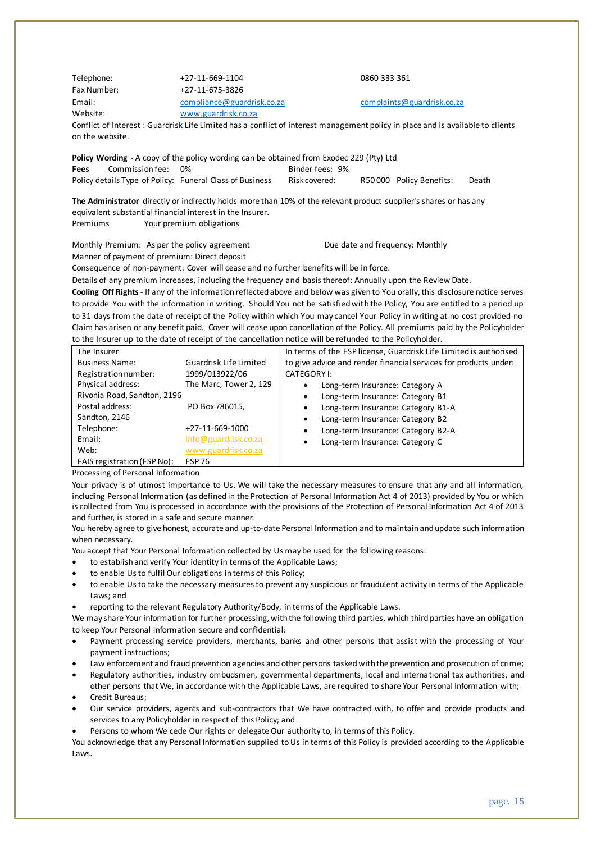| Telephone:                                                | +27-11-669-1104               | 0860 333 361                                                                                                                    |  |  |  |  |  |
|-----------------------------------------------------------|-------------------------------|---------------------------------------------------------------------------------------------------------------------------------|--|--|--|--|--|
| Fax Number:                                               | +27-11-675-3826               |                                                                                                                                 |  |  |  |  |  |
| Email:                                                    | compliance@guardrisk.co.za    | complaints@guardrisk.co.za                                                                                                      |  |  |  |  |  |
| Website:                                                  | www.guardrisk.co.za           |                                                                                                                                 |  |  |  |  |  |
|                                                           |                               | Conflict of Interest : Guardrisk Life Limited has a conflict of interest management policy in place and is available to clients |  |  |  |  |  |
|                                                           | on the website.               |                                                                                                                                 |  |  |  |  |  |
|                                                           |                               | Policy Wording - A copy of the policy wording can be obtained from Exodec 229 (Pty) Ltd                                         |  |  |  |  |  |
| Commission fee:<br>Fees                                   | 0%                            | Binder fees: 9%                                                                                                                 |  |  |  |  |  |
| Policy details Type of Policy: Funeral Class of Business  |                               | Risk covered:<br>R50000 Policy Benefits:<br>Death                                                                               |  |  |  |  |  |
|                                                           |                               |                                                                                                                                 |  |  |  |  |  |
|                                                           |                               | The Administrator directly or indirectly holds more than 10% of the relevant product supplier's shares or has any               |  |  |  |  |  |
| equivalent substantial financial interest in the Insurer. |                               |                                                                                                                                 |  |  |  |  |  |
| Premiums                                                  | Your premium obligations      |                                                                                                                                 |  |  |  |  |  |
|                                                           |                               |                                                                                                                                 |  |  |  |  |  |
| Monthly Premium: As per the policy agreement              |                               | Due date and frequency: Monthly                                                                                                 |  |  |  |  |  |
| Manner of payment of premium: Direct deposit              |                               |                                                                                                                                 |  |  |  |  |  |
|                                                           |                               | Consequence of non-payment: Cover will cease and no further benefits will be in force.                                          |  |  |  |  |  |
|                                                           |                               | Details of any premium increases, including the frequency and basis thereof: Annually upon the Review Date.                     |  |  |  |  |  |
|                                                           |                               | Cooling Off Rights - If any of the information reflected above and below was given to You orally, this disclosure notice serves |  |  |  |  |  |
|                                                           |                               | to provide You with the information in writing. Should You not be satisfied with the Policy, You are entitled to a period up    |  |  |  |  |  |
|                                                           |                               | to 31 days from the date of receipt of the Policy within which You may cancel Your Policy in writing at no cost provided no     |  |  |  |  |  |
|                                                           |                               | Claim has arisen or any benefit paid. Cover will cease upon cancellation of the Policy. All premiums paid by the Policyholder   |  |  |  |  |  |
|                                                           |                               | to the Insurer up to the date of receipt of the cancellation notice will be refunded to the Policyholder.                       |  |  |  |  |  |
| The Insurer                                               |                               | In terms of the FSP license, Guardrisk Life Limited is authorised                                                               |  |  |  |  |  |
| <b>Business Name:</b>                                     | <b>Guardrisk Life Limited</b> | to give advice and render financial services for products under:                                                                |  |  |  |  |  |
| Registration number:                                      | 1999/013922/06                | <b>CATEGORYI:</b>                                                                                                               |  |  |  |  |  |
| Physical address:                                         | The Marc, Tower 2, 129        | Long-term Insurance: Category A<br>$\bullet$                                                                                    |  |  |  |  |  |
| Rivonia Road, Sandton, 2196                               |                               | Long-term Insurance: Category B1<br>$\bullet$                                                                                   |  |  |  |  |  |
| Postal address:                                           | PO Box 786015,                | Long-term Insurance: Category B1-A<br>$\bullet$                                                                                 |  |  |  |  |  |
| Sandton, 2146                                             |                               | Long-term Insurance: Category B2<br>$\bullet$                                                                                   |  |  |  |  |  |
| Telephone:                                                | +27-11-669-1000               | Long-term Insurance: Category B2-A<br>٠                                                                                         |  |  |  |  |  |
| Email:                                                    | info@guardrisk.co.za          | Long-term Insurance: Category C<br>$\bullet$                                                                                    |  |  |  |  |  |
| Web:                                                      | www.guardrisk.co.za           |                                                                                                                                 |  |  |  |  |  |
| FAIS registration (FSP No):                               | <b>FSP76</b>                  |                                                                                                                                 |  |  |  |  |  |

Processing of Personal Information

Your privacy is of utmost importance to Us. We will take the necessary measures to ensure that any and all information, including Personal Information (as defined in the Protection of Personal Information Act 4 of 2013) provided by You or which is collected from You is processed in accordance with the provisions of the Protection of Personal Information Act 4 of 2013 and further, is stored in a safe and secure manner.

You hereby agree to give honest, accurate and up-to-date Personal Information and to maintain and update such information when necessary.

You accept that Your Personal Information collected by Us may be used for the following reasons:

- to establish and verify Your identity in terms of the Applicable Laws;
- to enable Us to fulfil Our obligations in terms of this Policy;
- to enable Us to take the necessary measures to prevent any suspicious or fraudulent activity in terms of the Applicable Laws; and
- reporting to the relevant Regulatory Authority/Body, in terms of the Applicable Laws.

We may share Your information for further processing, with the following third parties, which third parties have an obligation to keep Your Personal Information secure and confidential:

- Payment processing service providers, merchants, banks and other persons that assist with the processing of Your payment instructions;
- Law enforcement and fraud prevention agencies and other persons tasked with the prevention and prosecution of crime;
- Regulatory authorities, industry ombudsmen, governmental departments, local and international tax authorities, and other persons that We, in accordance with the Applicable Laws, are required to share Your Personal Information with;
- Credit Bureaus;
- Our service providers, agents and sub-contractors that We have contracted with, to offer and provide products and services to any Policyholder in respect of this Policy; and
- Persons to whom We cede Our rights or delegate Our authority to, in terms of this Policy.

You acknowledge that any Personal Information supplied to Us in terms of this Policy is provided according to the Applicable Laws.